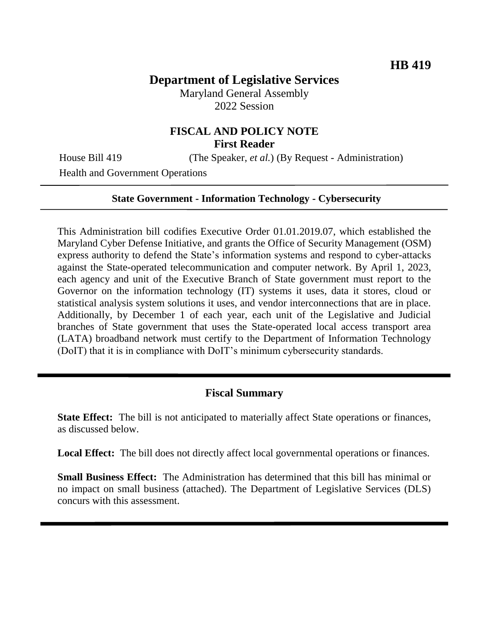## **Department of Legislative Services**

Maryland General Assembly 2022 Session

## **FISCAL AND POLICY NOTE First Reader**

Health and Government Operations

House Bill 419 (The Speaker, *et al.*) (By Request - Administration)

**State Government - Information Technology - Cybersecurity**

This Administration bill codifies Executive Order 01.01.2019.07, which established the Maryland Cyber Defense Initiative, and grants the Office of Security Management (OSM) express authority to defend the State's information systems and respond to cyber-attacks against the State-operated telecommunication and computer network. By April 1, 2023, each agency and unit of the Executive Branch of State government must report to the Governor on the information technology (IT) systems it uses, data it stores, cloud or statistical analysis system solutions it uses, and vendor interconnections that are in place. Additionally, by December 1 of each year, each unit of the Legislative and Judicial branches of State government that uses the State-operated local access transport area (LATA) broadband network must certify to the Department of Information Technology (DoIT) that it is in compliance with DoIT's minimum cybersecurity standards.

#### **Fiscal Summary**

**State Effect:** The bill is not anticipated to materially affect State operations or finances, as discussed below.

Local Effect: The bill does not directly affect local governmental operations or finances.

**Small Business Effect:** The Administration has determined that this bill has minimal or no impact on small business (attached). The Department of Legislative Services (DLS) concurs with this assessment.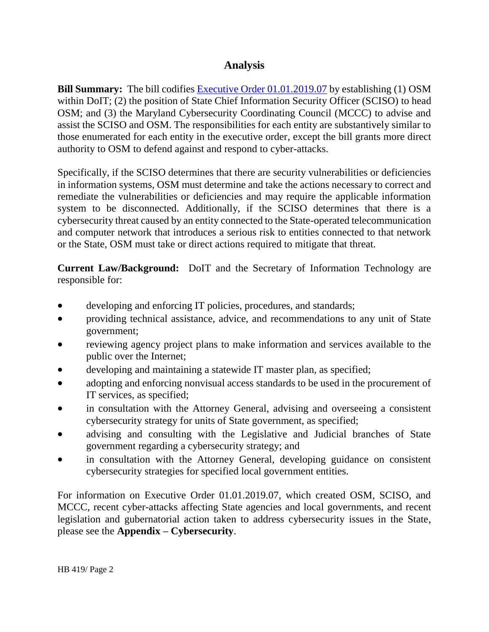## **Analysis**

**Bill Summary:** The bill codifies [Executive Order 01.01.2019.07](https://governor.maryland.gov/wp-content/uploads/2019/06/Maryland-Cyber-Defense-Initiative-EO-01.01.2019.07.pdf) by establishing (1) OSM within DoIT; (2) the position of State Chief Information Security Officer (SCISO) to head OSM; and (3) the Maryland Cybersecurity Coordinating Council (MCCC) to advise and assist the SCISO and OSM. The responsibilities for each entity are substantively similar to those enumerated for each entity in the executive order, except the bill grants more direct authority to OSM to defend against and respond to cyber-attacks.

Specifically, if the SCISO determines that there are security vulnerabilities or deficiencies in information systems, OSM must determine and take the actions necessary to correct and remediate the vulnerabilities or deficiencies and may require the applicable information system to be disconnected. Additionally, if the SCISO determines that there is a cybersecurity threat caused by an entity connected to the State-operated telecommunication and computer network that introduces a serious risk to entities connected to that network or the State, OSM must take or direct actions required to mitigate that threat.

**Current Law/Background:** DoIT and the Secretary of Information Technology are responsible for:

- developing and enforcing IT policies, procedures, and standards;
- providing technical assistance, advice, and recommendations to any unit of State government;
- reviewing agency project plans to make information and services available to the public over the Internet;
- developing and maintaining a statewide IT master plan, as specified;
- adopting and enforcing nonvisual access standards to be used in the procurement of IT services, as specified;
- in consultation with the Attorney General, advising and overseeing a consistent cybersecurity strategy for units of State government, as specified;
- advising and consulting with the Legislative and Judicial branches of State government regarding a cybersecurity strategy; and
- in consultation with the Attorney General, developing guidance on consistent cybersecurity strategies for specified local government entities.

For information on Executive Order 01.01.2019.07, which created OSM, SCISO, and MCCC, recent cyber-attacks affecting State agencies and local governments, and recent legislation and gubernatorial action taken to address cybersecurity issues in the State, please see the **Appendix – Cybersecurity**.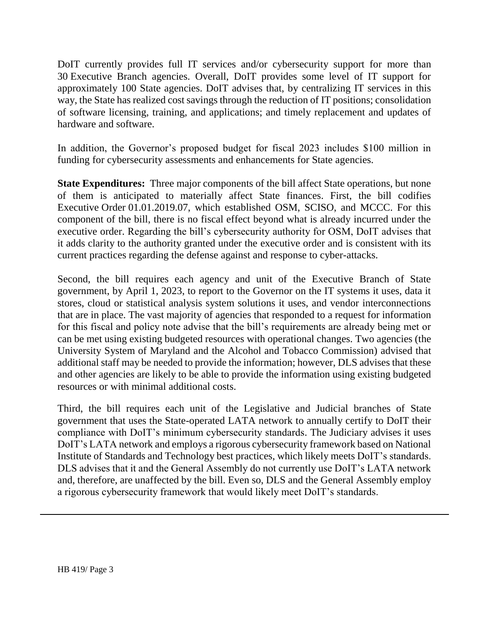DoIT currently provides full IT services and/or cybersecurity support for more than 30 Executive Branch agencies. Overall, DoIT provides some level of IT support for approximately 100 State agencies. DoIT advises that, by centralizing IT services in this way, the State has realized cost savings through the reduction of IT positions; consolidation of software licensing, training, and applications; and timely replacement and updates of hardware and software.

In addition, the Governor's proposed budget for fiscal 2023 includes \$100 million in funding for cybersecurity assessments and enhancements for State agencies.

**State Expenditures:** Three major components of the bill affect State operations, but none of them is anticipated to materially affect State finances. First, the bill codifies Executive Order 01.01.2019.07, which established OSM, SCISO, and MCCC. For this component of the bill, there is no fiscal effect beyond what is already incurred under the executive order. Regarding the bill's cybersecurity authority for OSM, DoIT advises that it adds clarity to the authority granted under the executive order and is consistent with its current practices regarding the defense against and response to cyber-attacks.

Second, the bill requires each agency and unit of the Executive Branch of State government, by April 1, 2023, to report to the Governor on the IT systems it uses, data it stores, cloud or statistical analysis system solutions it uses, and vendor interconnections that are in place. The vast majority of agencies that responded to a request for information for this fiscal and policy note advise that the bill's requirements are already being met or can be met using existing budgeted resources with operational changes. Two agencies (the University System of Maryland and the Alcohol and Tobacco Commission) advised that additional staff may be needed to provide the information; however, DLS advises that these and other agencies are likely to be able to provide the information using existing budgeted resources or with minimal additional costs.

Third, the bill requires each unit of the Legislative and Judicial branches of State government that uses the State-operated LATA network to annually certify to DoIT their compliance with DoIT's minimum cybersecurity standards. The Judiciary advises it uses DoIT's LATA network and employs a rigorous cybersecurity framework based on National Institute of Standards and Technology best practices, which likely meets DoIT's standards. DLS advises that it and the General Assembly do not currently use DoIT's LATA network and, therefore, are unaffected by the bill. Even so, DLS and the General Assembly employ a rigorous cybersecurity framework that would likely meet DoIT's standards.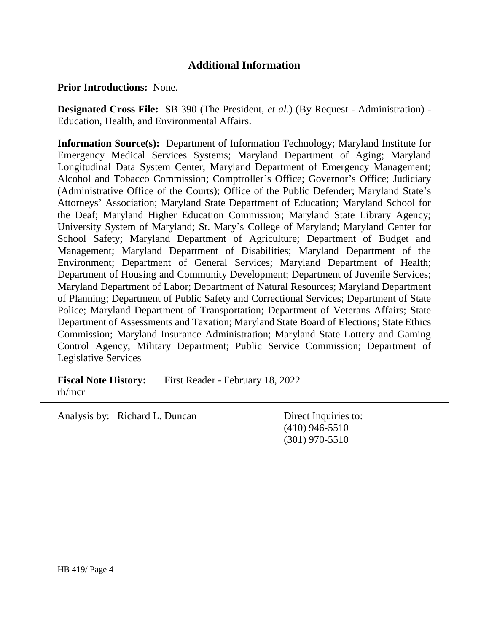## **Additional Information**

**Prior Introductions:** None.

**Designated Cross File:** SB 390 (The President, *et al.*) (By Request - Administration) - Education, Health, and Environmental Affairs.

**Information Source(s):** Department of Information Technology; Maryland Institute for Emergency Medical Services Systems; Maryland Department of Aging; Maryland Longitudinal Data System Center; Maryland Department of Emergency Management; Alcohol and Tobacco Commission; Comptroller's Office; Governor's Office; Judiciary (Administrative Office of the Courts); Office of the Public Defender; Maryland State's Attorneys' Association; Maryland State Department of Education; Maryland School for the Deaf; Maryland Higher Education Commission; Maryland State Library Agency; University System of Maryland; St. Mary's College of Maryland; Maryland Center for School Safety; Maryland Department of Agriculture; Department of Budget and Management; Maryland Department of Disabilities; Maryland Department of the Environment; Department of General Services; Maryland Department of Health; Department of Housing and Community Development; Department of Juvenile Services; Maryland Department of Labor; Department of Natural Resources; Maryland Department of Planning; Department of Public Safety and Correctional Services; Department of State Police; Maryland Department of Transportation; Department of Veterans Affairs; State Department of Assessments and Taxation; Maryland State Board of Elections; State Ethics Commission; Maryland Insurance Administration; Maryland State Lottery and Gaming Control Agency; Military Department; Public Service Commission; Department of Legislative Services

**Fiscal Note History:** First Reader - February 18, 2022 rh/mcr

Analysis by: Richard L. Duncan Direct Inquiries to:

(410) 946-5510 (301) 970-5510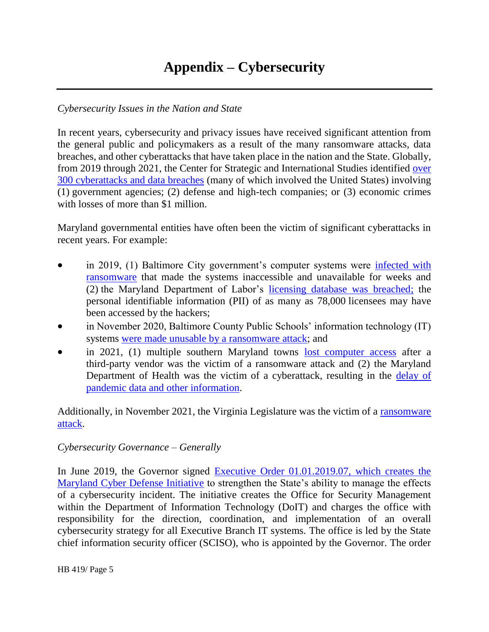# **Appendix – Cybersecurity**

#### *Cybersecurity Issues in the Nation and State*

In recent years, cybersecurity and privacy issues have received significant attention from the general public and policymakers as a result of the many ransomware attacks, data breaches, and other cyberattacks that have taken place in the nation and the State. Globally, from 2019 through 2021, the Center for Strategic and International Studies identified [over](https://www.csis.org/programs/strategic-technologies-program/significant-cyber-incidents)  [300 cyberattacks and data breaches](https://www.csis.org/programs/strategic-technologies-program/significant-cyber-incidents) (many of which involved the United States) involving (1) government agencies; (2) defense and high-tech companies; or (3) economic crimes with losses of more than \$1 million.

Maryland governmental entities have often been the victim of significant cyberattacks in recent years. For example:

- in 2019, (1) Baltimore City government's computer systems were infected with [ransomware](https://www.engadget.com/2019-05-08-baltimore-city-government-ransomware-attack.html) that made the systems inaccessible and unavailable for weeks and (2) the Maryland Department of Labor's [licensing database was breached;](https://www.baltimoresun.com/business/bs-bz-department-of-labor-hacked-20190705-story.html) the personal identifiable information (PII) of as many as 78,000 licensees may have been accessed by the hackers;
- in November 2020, Baltimore County Public Schools' information technology (IT) systems [were made unusable by a ransomware attack;](https://www.bbc.com/news/technology-55129564) and
- in 2021, (1) multiple southern Maryland towns [lost computer access](https://www.thebaynet.com/articles/0721/multiple-southern-maryland-towns-hit-by-ransomware-attack-facing-lofty-demands.html) after a third-party vendor was the victim of a ransomware attack and (2) the Maryland Department of Health was the victim of a cyberattack, resulting in the delay of [pandemic data and other information.](https://www.baltimoresun.com/health/bs-hs-mdh-website-down-20211206-o2ky2sn5znb3pdwtnu2a7m5g6q-story.html)

Additionally, in November 2021, the Virginia Legislature was the victim of a [ransomware](https://www.washingtonpost.com/dc-md-va/2021/12/13/virginia-general-assembly-cyber-attack/)  [attack.](https://www.washingtonpost.com/dc-md-va/2021/12/13/virginia-general-assembly-cyber-attack/)

#### *Cybersecurity Governance – Generally*

In June 2019, the Governor signed Executive Order 01.01.2019.07, which creates the [Maryland Cyber Defense Initiative](https://governor.maryland.gov/wp-content/uploads/2019/06/Maryland-Cyber-Defense-Initiative-EO-01.01.2019.07.pdf) to strengthen the State's ability to manage the effects of a cybersecurity incident. The initiative creates the Office for Security Management within the Department of Information Technology (DoIT) and charges the office with responsibility for the direction, coordination, and implementation of an overall cybersecurity strategy for all Executive Branch IT systems. The office is led by the State chief information security officer (SCISO), who is appointed by the Governor. The order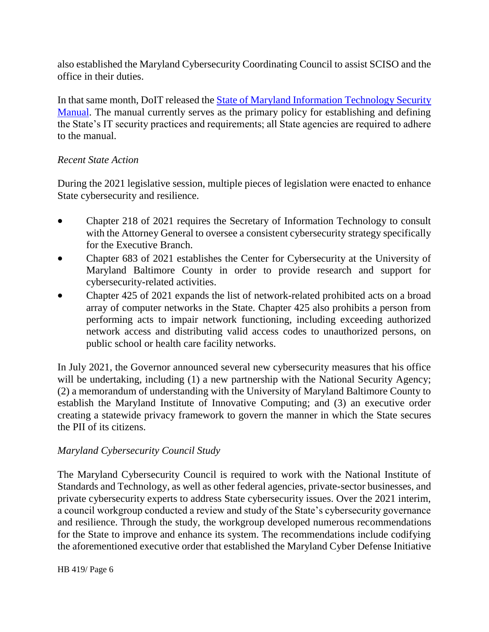also established the Maryland Cybersecurity Coordinating Council to assist SCISO and the office in their duties.

In that same month, DoIT released the **State of Maryland Information Technology Security** [Manual.](https://doit.maryland.gov/Documents/Maryland%20IT%20Security%20Manual%20v1.2.pdf) The manual currently serves as the primary policy for establishing and defining the State's IT security practices and requirements; all State agencies are required to adhere to the manual.

## *Recent State Action*

During the 2021 legislative session, multiple pieces of legislation were enacted to enhance State cybersecurity and resilience.

- Chapter 218 of 2021 requires the Secretary of Information Technology to consult with the Attorney General to oversee a consistent cybersecurity strategy specifically for the Executive Branch.
- Chapter 683 of 2021 establishes the Center for Cybersecurity at the University of Maryland Baltimore County in order to provide research and support for cybersecurity-related activities.
- Chapter 425 of 2021 expands the list of network-related prohibited acts on a broad array of computer networks in the State. Chapter 425 also prohibits a person from performing acts to impair network functioning, including exceeding authorized network access and distributing valid access codes to unauthorized persons, on public school or health care facility networks.

In July 2021, the Governor announced several new cybersecurity measures that his office will be undertaking, including (1) a new partnership with the National Security Agency; (2) a memorandum of understanding with the University of Maryland Baltimore County to establish the Maryland Institute of Innovative Computing; and (3) an executive order creating a statewide privacy framework to govern the manner in which the State secures the PII of its citizens.

## *Maryland Cybersecurity Council Study*

The Maryland Cybersecurity Council is required to work with the National Institute of Standards and Technology, as well as other federal agencies, private-sector businesses, and private cybersecurity experts to address State cybersecurity issues. Over the 2021 interim, a council workgroup conducted a review and study of the State's cybersecurity governance and resilience. Through the study, the workgroup developed numerous recommendations for the State to improve and enhance its system. The recommendations include codifying the aforementioned executive order that established the Maryland Cyber Defense Initiative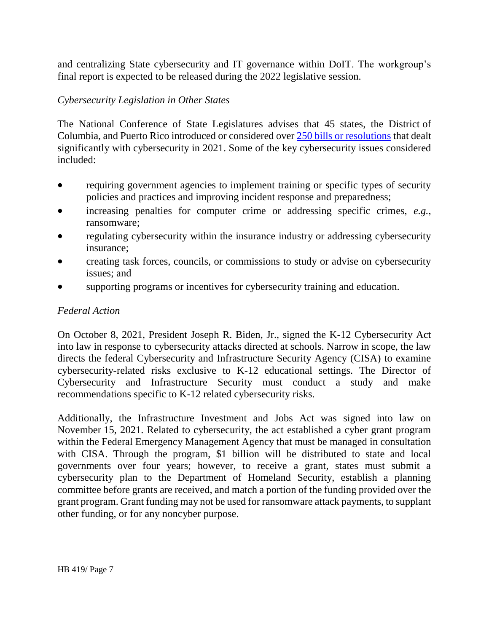and centralizing State cybersecurity and IT governance within DoIT. The workgroup's final report is expected to be released during the 2022 legislative session.

## *Cybersecurity Legislation in Other States*

The National Conference of State Legislatures advises that 45 states, the District of Columbia, and Puerto Rico introduced or considered over [250 bills or resolutions](https://www.ncsl.org/research/telecommunications-and-information-technology/cybersecurity-legislation-2021.aspx) that dealt significantly with cybersecurity in 2021. Some of the key cybersecurity issues considered included:

- requiring government agencies to implement training or specific types of security policies and practices and improving incident response and preparedness;
- increasing penalties for computer crime or addressing specific crimes, *e.g.*, ransomware;
- regulating cybersecurity within the insurance industry or addressing cybersecurity insurance;
- creating task forces, councils, or commissions to study or advise on cybersecurity issues; and
- supporting programs or incentives for cybersecurity training and education.

## *Federal Action*

On October 8, 2021, President Joseph R. Biden, Jr., signed the K-12 Cybersecurity Act into law in response to cybersecurity attacks directed at schools. Narrow in scope, the law directs the federal Cybersecurity and Infrastructure Security Agency (CISA) to examine cybersecurity-related risks exclusive to K-12 educational settings. The Director of Cybersecurity and Infrastructure Security must conduct a study and make recommendations specific to K-12 related cybersecurity risks.

Additionally, the Infrastructure Investment and Jobs Act was signed into law on November 15, 2021. Related to cybersecurity, the act established a cyber grant program within the Federal Emergency Management Agency that must be managed in consultation with CISA. Through the program, \$1 billion will be distributed to state and local governments over four years; however, to receive a grant, states must submit a cybersecurity plan to the Department of Homeland Security, establish a planning committee before grants are received, and match a portion of the funding provided over the grant program. Grant funding may not be used for ransomware attack payments, to supplant other funding, or for any noncyber purpose.